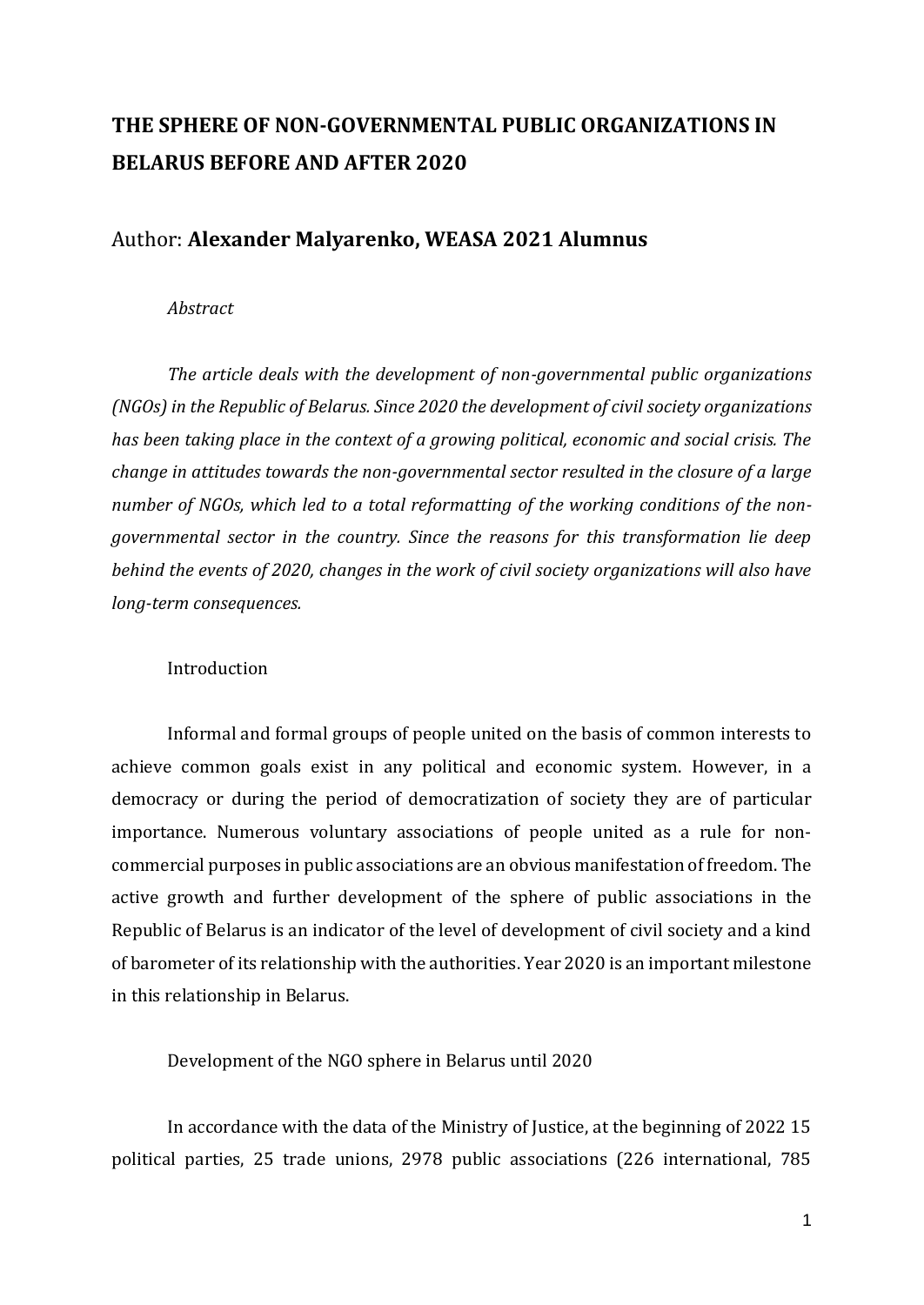# **THE SPHERE OF NON-GOVERNMENTAL PUBLIC ORGANIZATIONS IN BELARUS BEFORE AND AFTER 2020**

# Author: **Alexander Malyarenko, WEASA 2021 Alumnus**

### *Abstract*

*The article deals with the development of non-governmental public organizations (NGOs) in the Republic of Belarus. Since 2020 the development of civil society organizations has been taking place in the context of a growing political, economic and social crisis. The change in attitudes towards the non-governmental sector resulted in the closure of a large number of NGOs, which led to a total reformatting of the working conditions of the nongovernmental sector in the country. Since the reasons for this transformation lie deep behind the events of 2020, changes in the work of civil society organizations will also have long-term consequences.*

# Introduction

Informal and formal groups of people united on the basis of common interests to achieve common goals exist in any political and economic system. However, in a democracy or during the period of democratization of society they are of particular importance. Numerous voluntary associations of people united as a rule for noncommercial purposes in public associations are an obvious manifestation of freedom. The active growth and further development of the sphere of public associations in the Republic of Belarus is an indicator of the level of development of civil society and a kind of barometer of its relationship with the authorities. Year 2020 is an important milestone in this relationship in Belarus.

## Development of the NGO sphere in Belarus until 2020

In accordance with the data of the Ministry of Justice, at the beginning of 2022 15 political parties, 25 trade unions, 2978 public associations (226 international, 785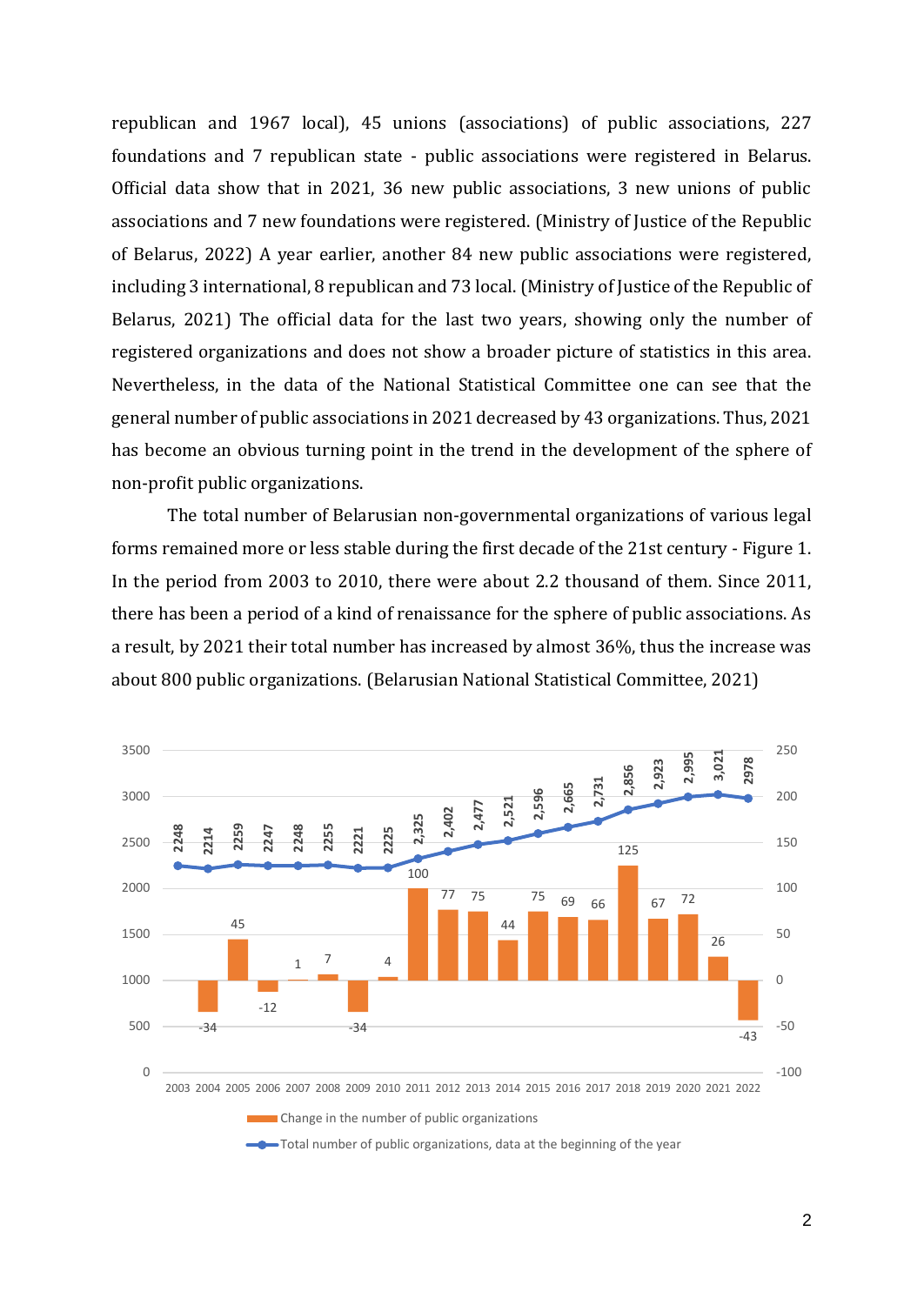republican and 1967 local), 45 unions (associations) of public associations, 227 foundations and 7 republican state - public associations were registered in Belarus. Official data show that in 2021, 36 new public associations, 3 new unions of public associations and 7 new foundations were registered. (Ministry of Justice of the Republic of Belarus, 2022) A year earlier, another 84 new public associations were registered, including 3 international, 8 republican and 73 local. (Ministry of Justice of the Republic of Belarus, 2021) The official data for the last two years, showing only the number of registered organizations and does not show a broader picture of statistics in this area. Nevertheless, in the data of the National Statistical Committee one can see that the general number of public associations in 2021 decreased by 43 organizations. Thus, 2021 has become an obvious turning point in the trend in the development of the sphere of non-profit public organizations.

The total number of Belarusian non-governmental organizations of various legal forms remained more or less stable during the first decade of the 21st century - Figure 1. In the period from 2003 to 2010, there were about 2.2 thousand of them. Since 2011, there has been a period of a kind of renaissance for the sphere of public associations. As a result, by 2021 their total number has increased by almost 36%, thus the increase was about 800 public organizations. (Belarusian National Statistical Committee, 2021)

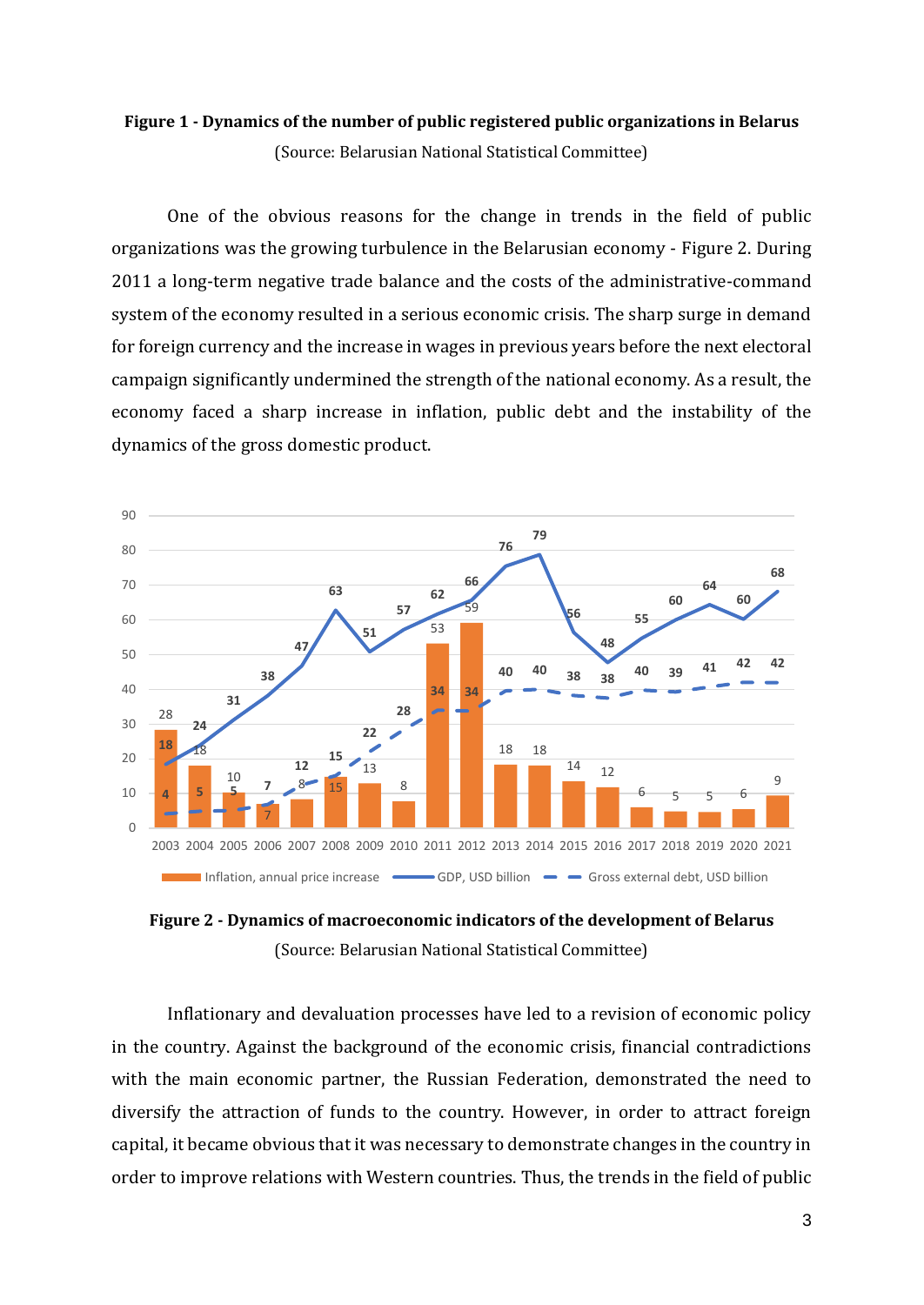# **Figure 1 - Dynamics of the number of public registered public organizations in Belarus** (Source: Belarusian National Statistical Committee)

One of the obvious reasons for the change in trends in the field of public organizations was the growing turbulence in the Belarusian economy - Figure 2. During 2011 a long-term negative trade balance and the costs of the administrative-command system of the economy resulted in a serious economic crisis. The sharp surge in demand for foreign currency and the increase in wages in previous years before the next electoral campaign significantly undermined the strength of the national economy. As a result, the economy faced a sharp increase in inflation, public debt and the instability of the dynamics of the gross domestic product.



**Figure 2 - Dynamics of macroeconomic indicators of the development of Belarus** (Source: Belarusian National Statistical Committee)

Inflationary and devaluation processes have led to a revision of economic policy in the country. Against the background of the economic crisis, financial contradictions with the main economic partner, the Russian Federation, demonstrated the need to diversify the attraction of funds to the country. However, in order to attract foreign capital, it became obvious that it was necessary to demonstrate changes in the country in order to improve relations with Western countries. Thus, the trends in the field of public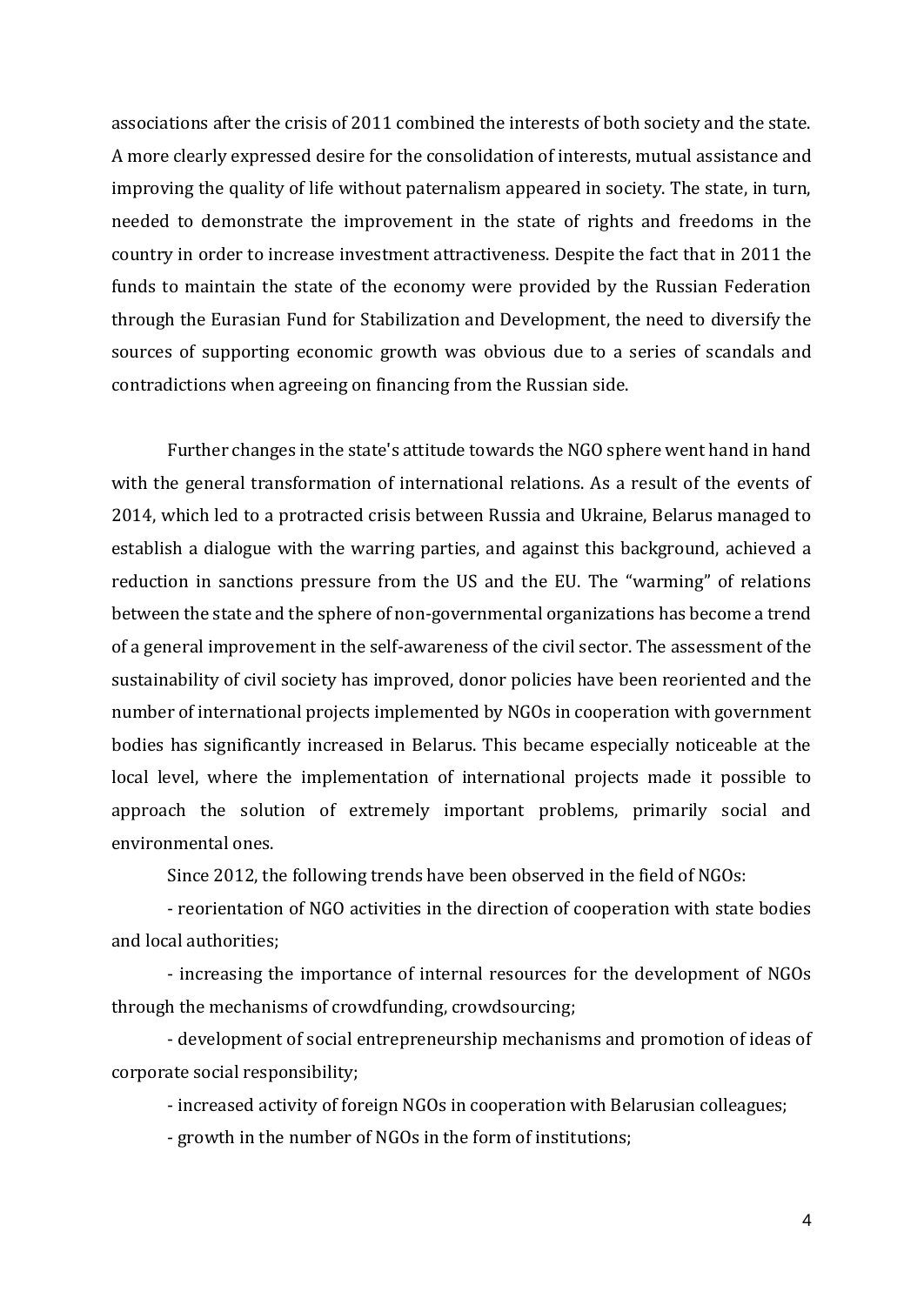associations after the crisis of 2011 combined the interests of both society and the state. A more clearly expressed desire for the consolidation of interests, mutual assistance and improving the quality of life without paternalism appeared in society. The state, in turn, needed to demonstrate the improvement in the state of rights and freedoms in the country in order to increase investment attractiveness. Despite the fact that in 2011 the funds to maintain the state of the economy were provided by the Russian Federation through the Eurasian Fund for Stabilization and Development, the need to diversify the sources of supporting economic growth was obvious due to a series of scandals and contradictions when agreeing on financing from the Russian side.

Further changes in the state's attitude towards the NGO sphere went hand in hand with the general transformation of international relations. As a result of the events of 2014, which led to a protracted crisis between Russia and Ukraine, Belarus managed to establish a dialogue with the warring parties, and against this background, achieved a reduction in sanctions pressure from the US and the EU. The "warming" of relations between the state and the sphere of non-governmental organizations has become a trend of a general improvement in the self-awareness of the civil sector. The assessment of the sustainability of civil society has improved, donor policies have been reoriented and the number of international projects implemented by NGOs in cooperation with government bodies has significantly increased in Belarus. This became especially noticeable at the local level, where the implementation of international projects made it possible to approach the solution of extremely important problems, primarily social and environmental ones.

Since 2012, the following trends have been observed in the field of NGOs:

- reorientation of NGO activities in the direction of cooperation with state bodies and local authorities;

- increasing the importance of internal resources for the development of NGOs through the mechanisms of crowdfunding, crowdsourcing;

- development of social entrepreneurship mechanisms and promotion of ideas of corporate social responsibility;

- increased activity of foreign NGOs in cooperation with Belarusian colleagues;

- growth in the number of NGOs in the form of institutions;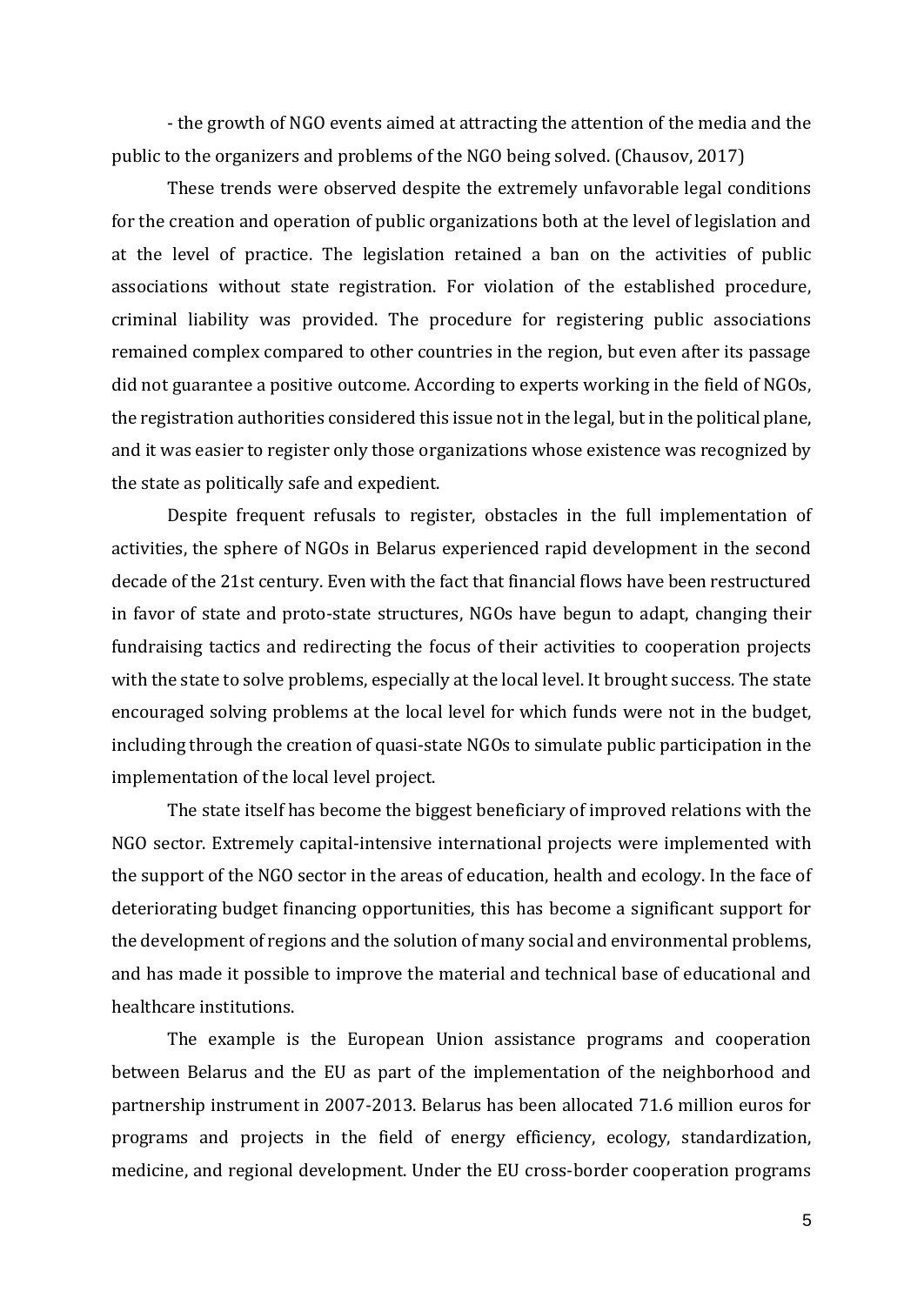- the growth of NGO events aimed at attracting the attention of the media and the public to the organizers and problems of the NGO being solved. (Chausov, 2017)

These trends were observed despite the extremely unfavorable legal conditions for the creation and operation of public organizations both at the level of legislation and at the level of practice. The legislation retained a ban on the activities of public associations without state registration. For violation of the established procedure, criminal liability was provided. The procedure for registering public associations remained complex compared to other countries in the region, but even after its passage did not guarantee a positive outcome. According to experts working in the field of NGOs, the registration authorities considered this issue not in the legal, but in the political plane, and it was easier to register only those organizations whose existence was recognized by the state as politically safe and expedient.

Despite frequent refusals to register, obstacles in the full implementation of activities, the sphere of NGOs in Belarus experienced rapid development in the second decade of the 21st century. Even with the fact that financial flows have been restructured in favor of state and proto-state structures, NGOs have begun to adapt, changing their fundraising tactics and redirecting the focus of their activities to cooperation projects with the state to solve problems, especially at the local level. It brought success. The state encouraged solving problems at the local level for which funds were not in the budget, including through the creation of quasi-state NGOs to simulate public participation in the implementation of the local level project.

The state itself has become the biggest beneficiary of improved relations with the NGO sector. Extremely capital-intensive international projects were implemented with the support of the NGO sector in the areas of education, health and ecology. In the face of deteriorating budget financing opportunities, this has become a significant support for the development of regions and the solution of many social and environmental problems, and has made it possible to improve the material and technical base of educational and healthcare institutions.

The example is the European Union assistance programs and cooperation between Belarus and the EU as part of the implementation of the neighborhood and partnership instrument in 2007-2013. Belarus has been allocated 71.6 million euros for programs and projects in the field of energy efficiency, ecology, standardization, medicine, and regional development. Under the EU cross-border cooperation programs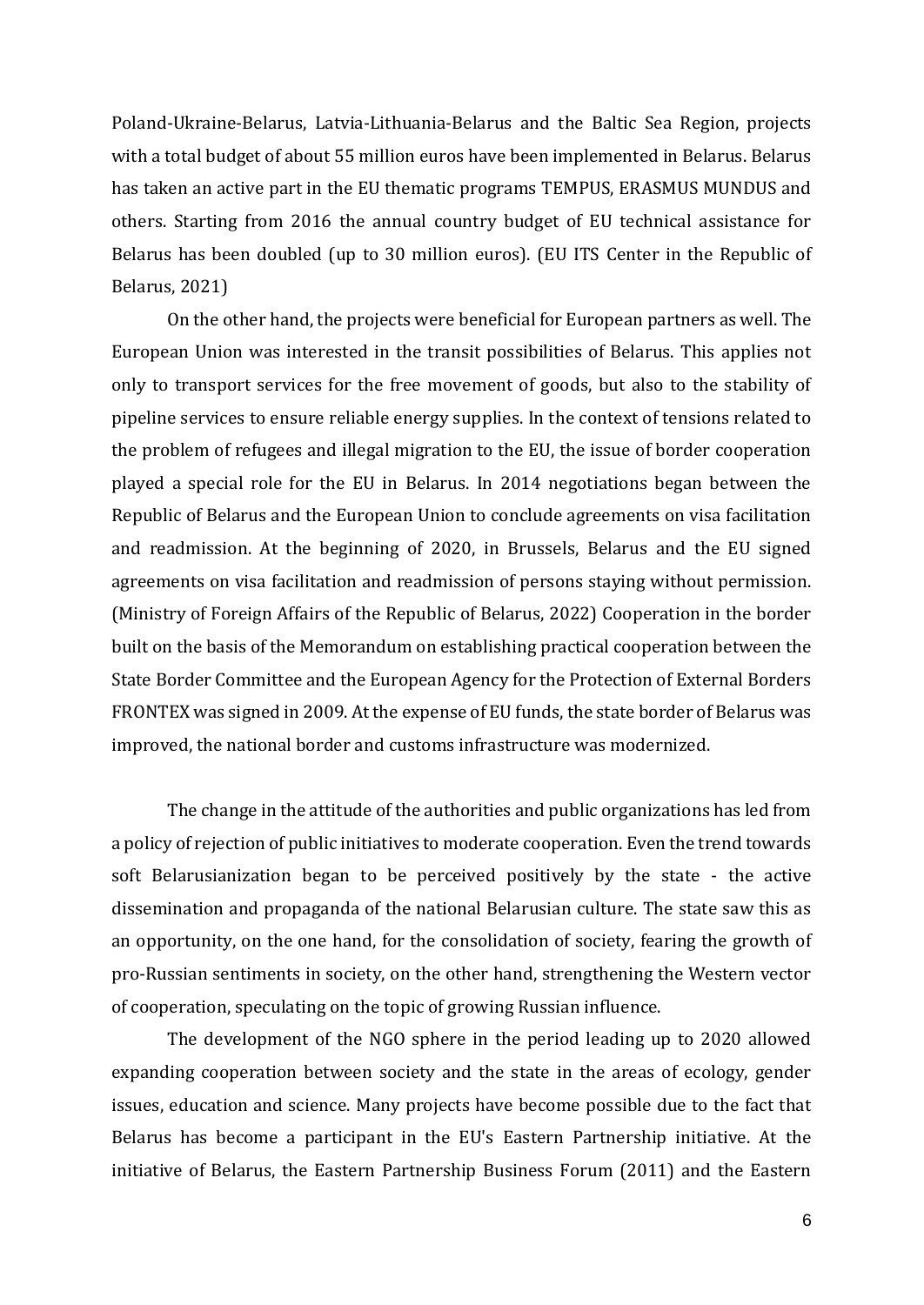Poland-Ukraine-Belarus, Latvia-Lithuania-Belarus and the Baltic Sea Region, projects with a total budget of about 55 million euros have been implemented in Belarus. Belarus has taken an active part in the EU thematic programs TEMPUS, ERASMUS MUNDUS and others. Starting from 2016 the annual country budget of EU technical assistance for Belarus has been doubled (up to 30 million euros). (EU ITS Center in the Republic of Belarus, 2021)

On the other hand, the projects were beneficial for European partners as well. The European Union was interested in the transit possibilities of Belarus. This applies not only to transport services for the free movement of goods, but also to the stability of pipeline services to ensure reliable energy supplies. In the context of tensions related to the problem of refugees and illegal migration to the EU, the issue of border cooperation played a special role for the EU in Belarus. In 2014 negotiations began between the Republic of Belarus and the European Union to conclude agreements on visa facilitation and readmission. At the beginning of 2020, in Brussels, Belarus and the EU signed agreements on visa facilitation and readmission of persons staying without permission. (Ministry of Foreign Affairs of the Republic of Belarus, 2022) Cooperation in the border built on the basis of the Memorandum on establishing practical cooperation between the State Border Committee and the European Agency for the Protection of External Borders FRONTEX was signed in 2009. At the expense of EU funds, the state border of Belarus was improved, the national border and customs infrastructure was modernized.

The change in the attitude of the authorities and public organizations has led from a policy of rejection of public initiatives to moderate cooperation. Even the trend towards soft Belarusianization began to be perceived positively by the state - the active dissemination and propaganda of the national Belarusian culture. The state saw this as an opportunity, on the one hand, for the consolidation of society, fearing the growth of pro-Russian sentiments in society, on the other hand, strengthening the Western vector of cooperation, speculating on the topic of growing Russian influence.

The development of the NGO sphere in the period leading up to 2020 allowed expanding cooperation between society and the state in the areas of ecology, gender issues, education and science. Many projects have become possible due to the fact that Belarus has become a participant in the EU's Eastern Partnership initiative. At the initiative of Belarus, the Eastern Partnership Business Forum (2011) and the Eastern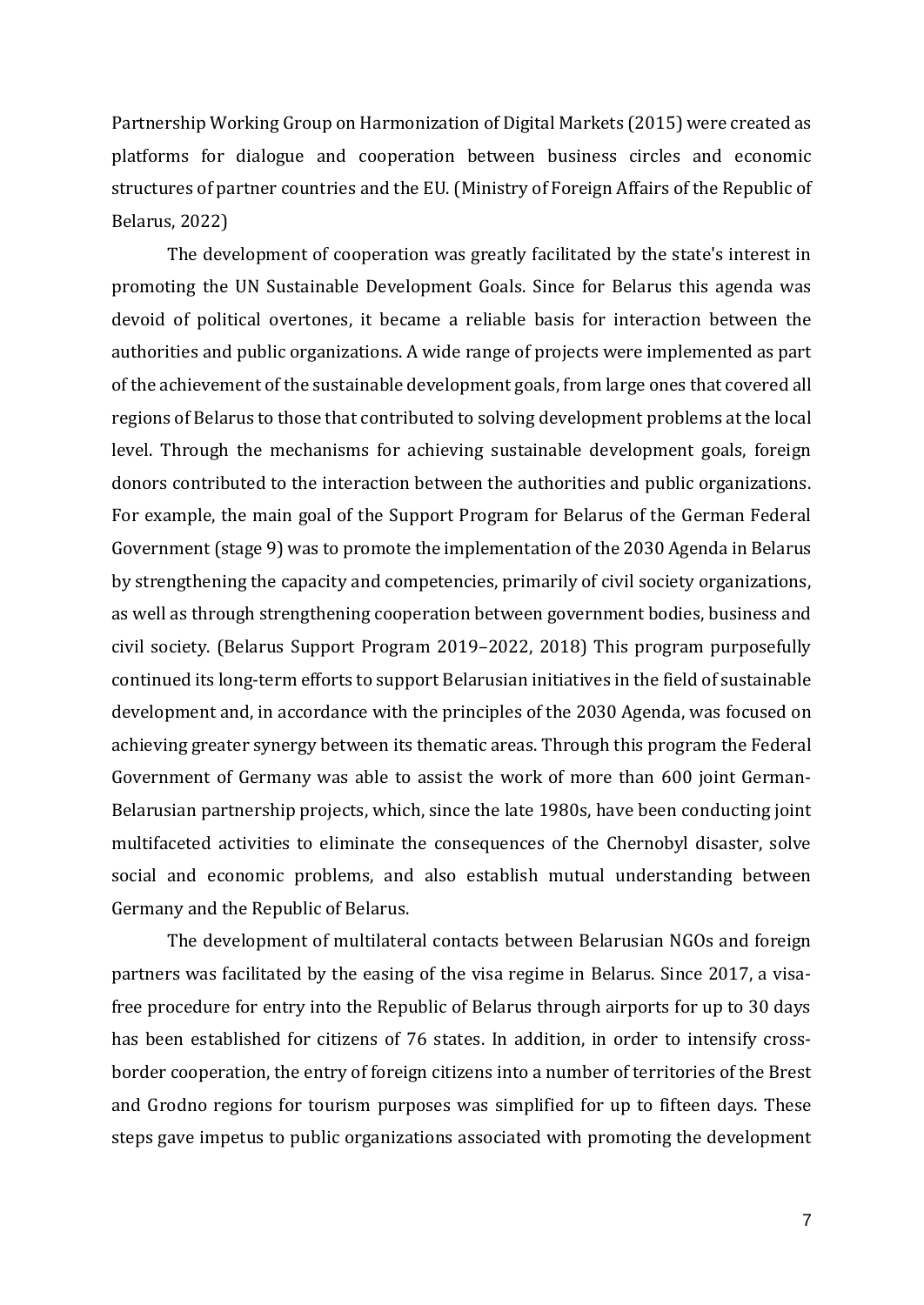Partnership Working Group on Harmonization of Digital Markets (2015) were created as platforms for dialogue and cooperation between business circles and economic structures of partner countries and the EU. (Ministry of Foreign Affairs of the Republic of Belarus, 2022)

The development of cooperation was greatly facilitated by the state's interest in promoting the UN Sustainable Development Goals. Since for Belarus this agenda was devoid of political overtones, it became a reliable basis for interaction between the authorities and public organizations. A wide range of projects were implemented as part of the achievement of the sustainable development goals, from large ones that covered all regions of Belarus to those that contributed to solving development problems at the local level. Through the mechanisms for achieving sustainable development goals, foreign donors contributed to the interaction between the authorities and public organizations. For example, the main goal of the Support Program for Belarus of the German Federal Government (stage 9) was to promote the implementation of the 2030 Agenda in Belarus by strengthening the capacity and competencies, primarily of civil society organizations, as well as through strengthening cooperation between government bodies, business and civil society. (Belarus Support Program 2019–2022, 2018) This program purposefully continued its long-term efforts to support Belarusian initiatives in the field of sustainable development and, in accordance with the principles of the 2030 Agenda, was focused on achieving greater synergy between its thematic areas. Through this program the Federal Government of Germany was able to assist the work of more than 600 joint German-Belarusian partnership projects, which, since the late 1980s, have been conducting joint multifaceted activities to eliminate the consequences of the Chernobyl disaster, solve social and economic problems, and also establish mutual understanding between Germany and the Republic of Belarus.

The development of multilateral contacts between Belarusian NGOs and foreign partners was facilitated by the easing of the visa regime in Belarus. Since 2017, a visafree procedure for entry into the Republic of Belarus through airports for up to 30 days has been established for citizens of 76 states. In addition, in order to intensify crossborder cooperation, the entry of foreign citizens into a number of territories of the Brest and Grodno regions for tourism purposes was simplified for up to fifteen days. These steps gave impetus to public organizations associated with promoting the development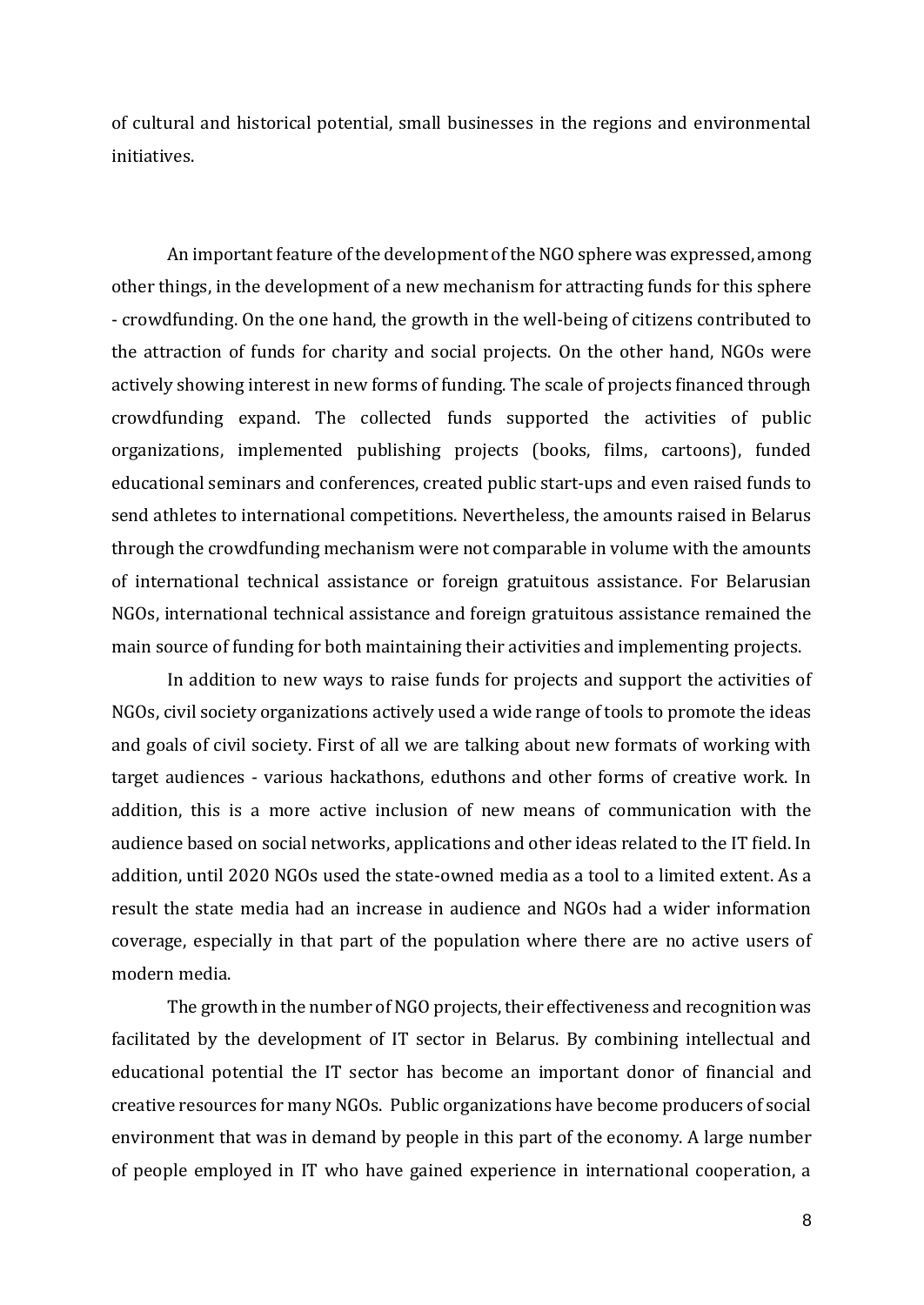of cultural and historical potential, small businesses in the regions and environmental initiatives.

An important feature of the development of the NGO sphere was expressed, among other things, in the development of a new mechanism for attracting funds for this sphere - crowdfunding. On the one hand, the growth in the well-being of citizens contributed to the attraction of funds for charity and social projects. On the other hand, NGOs were actively showing interest in new forms of funding. The scale of projects financed through crowdfunding expand. The collected funds supported the activities of public organizations, implemented publishing projects (books, films, cartoons), funded educational seminars and conferences, created public start-ups and even raised funds to send athletes to international competitions. Nevertheless, the amounts raised in Belarus through the crowdfunding mechanism were not comparable in volume with the amounts of international technical assistance or foreign gratuitous assistance. For Belarusian NGOs, international technical assistance and foreign gratuitous assistance remained the main source of funding for both maintaining their activities and implementing projects.

In addition to new ways to raise funds for projects and support the activities of NGOs, civil society organizations actively used a wide range of tools to promote the ideas and goals of civil society. First of all we are talking about new formats of working with target audiences - various hackathons, eduthons and other forms of creative work. In addition, this is a more active inclusion of new means of communication with the audience based on social networks, applications and other ideas related to the IT field. In addition, until 2020 NGOs used the state-owned media as a tool to a limited extent. As a result the state media had an increase in audience and NGOs had a wider information coverage, especially in that part of the population where there are no active users of modern media.

The growth in the number of NGO projects, their effectiveness and recognition was facilitated by the development of IT sector in Belarus. By combining intellectual and educational potential the IT sector has become an important donor of financial and creative resources for many NGOs. Public organizations have become producers of social environment that was in demand by people in this part of the economy. A large number of people employed in IT who have gained experience in international cooperation, a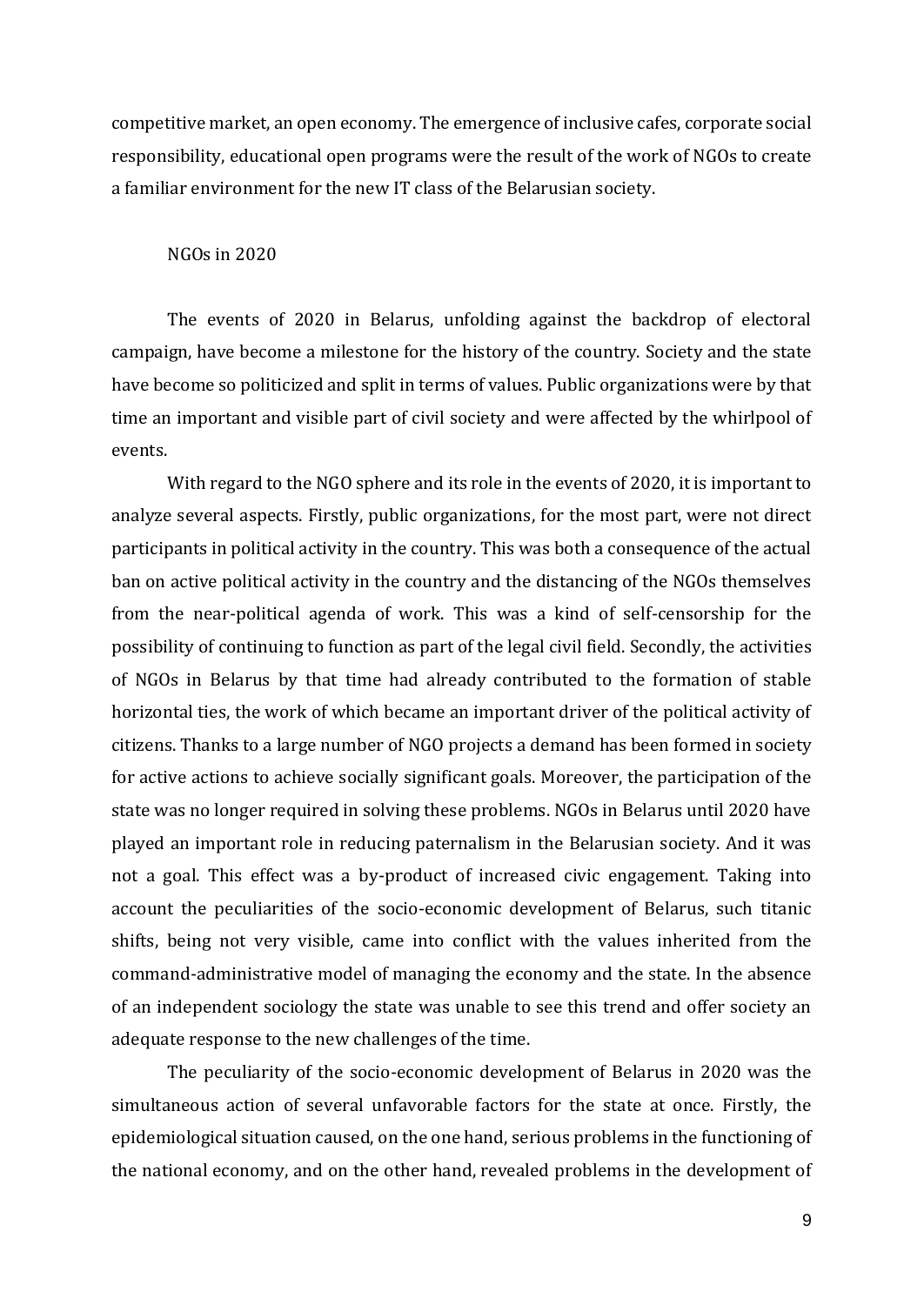competitive market, an open economy. The emergence of inclusive cafes, corporate social responsibility, educational open programs were the result of the work of NGOs to create a familiar environment for the new IT class of the Belarusian society.

### NGOs in 2020

The events of 2020 in Belarus, unfolding against the backdrop of electoral campaign, have become a milestone for the history of the country. Society and the state have become so politicized and split in terms of values. Public organizations were by that time an important and visible part of civil society and were affected by the whirlpool of events.

With regard to the NGO sphere and its role in the events of 2020, it is important to analyze several aspects. Firstly, public organizations, for the most part, were not direct participants in political activity in the country. This was both a consequence of the actual ban on active political activity in the country and the distancing of the NGOs themselves from the near-political agenda of work. This was a kind of self-censorship for the possibility of continuing to function as part of the legal civil field. Secondly, the activities of NGOs in Belarus by that time had already contributed to the formation of stable horizontal ties, the work of which became an important driver of the political activity of citizens. Thanks to a large number of NGO projects a demand has been formed in society for active actions to achieve socially significant goals. Moreover, the participation of the state was no longer required in solving these problems. NGOs in Belarus until 2020 have played an important role in reducing paternalism in the Belarusian society. And it was not a goal. This effect was a by-product of increased civic engagement. Taking into account the peculiarities of the socio-economic development of Belarus, such titanic shifts, being not very visible, came into conflict with the values inherited from the command-administrative model of managing the economy and the state. In the absence of an independent sociology the state was unable to see this trend and offer society an adequate response to the new challenges of the time.

The peculiarity of the socio-economic development of Belarus in 2020 was the simultaneous action of several unfavorable factors for the state at once. Firstly, the epidemiological situation caused, on the one hand, serious problems in the functioning of the national economy, and on the other hand, revealed problems in the development of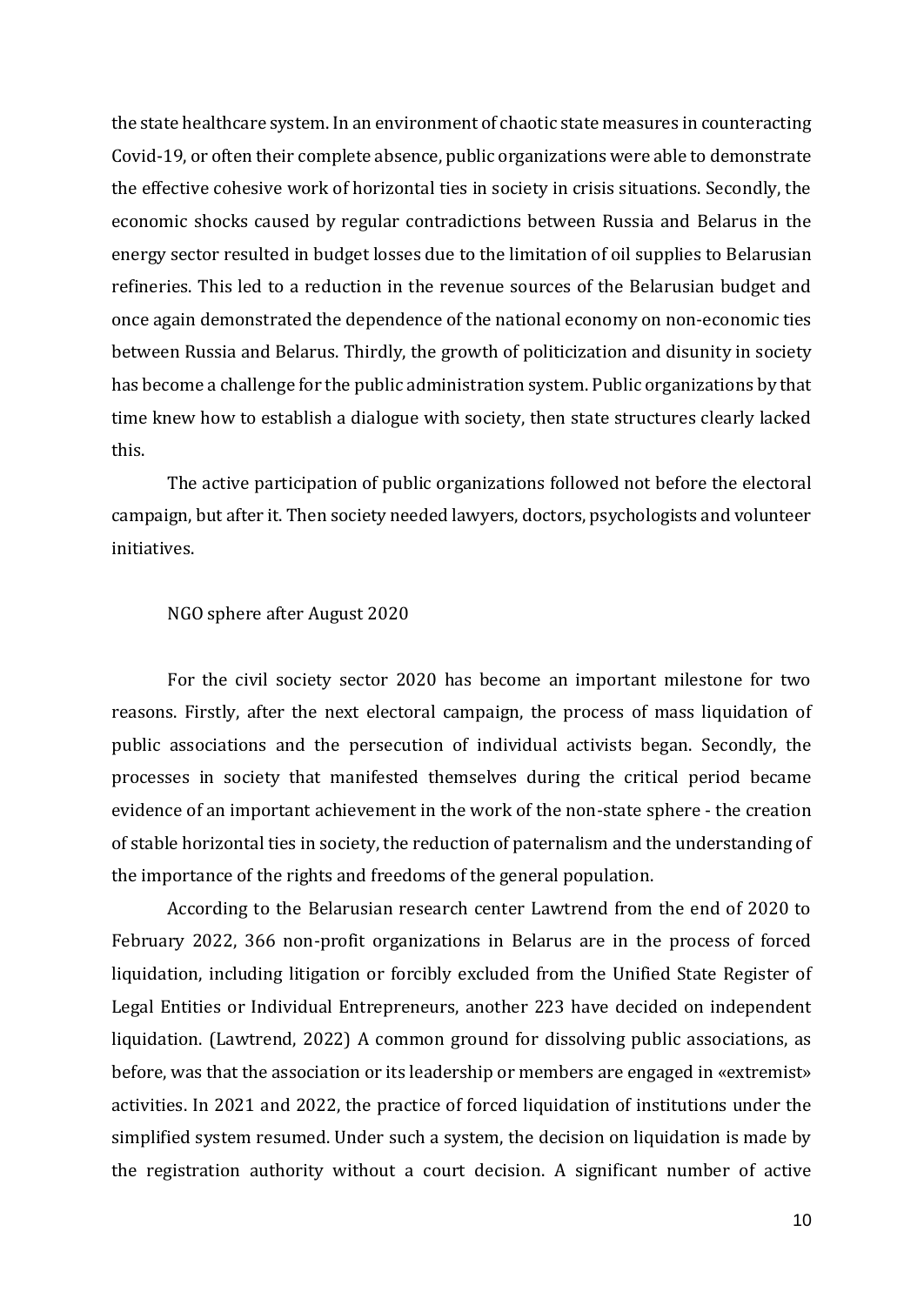the state healthcare system. In an environment of chaotic state measures in counteracting Covid-19, or often their complete absence, public organizations were able to demonstrate the effective cohesive work of horizontal ties in society in crisis situations. Secondly, the economic shocks caused by regular contradictions between Russia and Belarus in the energy sector resulted in budget losses due to the limitation of oil supplies to Belarusian refineries. This led to a reduction in the revenue sources of the Belarusian budget and once again demonstrated the dependence of the national economy on non-economic ties between Russia and Belarus. Thirdly, the growth of politicization and disunity in society has become a challenge for the public administration system. Public organizations by that time knew how to establish a dialogue with society, then state structures clearly lacked this.

The active participation of public organizations followed not before the electoral campaign, but after it. Then society needed lawyers, doctors, psychologists and volunteer initiatives.

### NGO sphere after August 2020

For the civil society sector 2020 has become an important milestone for two reasons. Firstly, after the next electoral campaign, the process of mass liquidation of public associations and the persecution of individual activists began. Secondly, the processes in society that manifested themselves during the critical period became evidence of an important achievement in the work of the non-state sphere - the creation of stable horizontal ties in society, the reduction of paternalism and the understanding of the importance of the rights and freedoms of the general population.

According to the Belarusian research center Lawtrend from the end of 2020 to February 2022, 366 non-profit organizations in Belarus are in the process of forced liquidation, including litigation or forcibly excluded from the Unified State Register of Legal Entities or Individual Entrepreneurs, another 223 have decided on independent liquidation. (Lawtrend, 2022) A common ground for dissolving public associations, as before, was that the association or its leadership or members are engaged in «extremist» activities. In 2021 and 2022, the practice of forced liquidation of institutions under the simplified system resumed. Under such a system, the decision on liquidation is made by the registration authority without a court decision. A significant number of active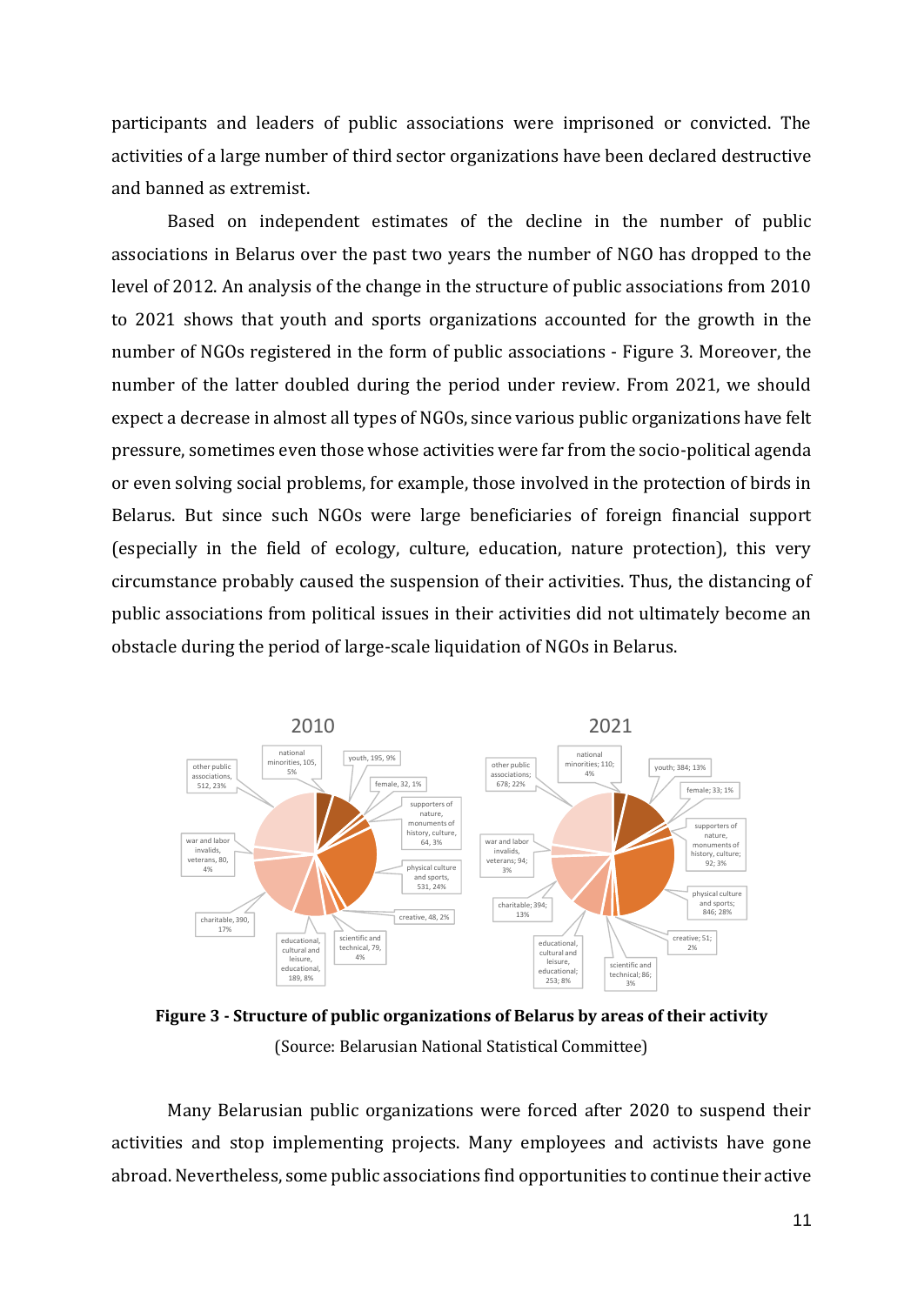participants and leaders of public associations were imprisoned or convicted. The activities of a large number of third sector organizations have been declared destructive and banned as extremist.

Based on independent estimates of the decline in the number of public associations in Belarus over the past two years the number of NGO has dropped to the level of 2012. An analysis of the change in the structure of public associations from 2010 to 2021 shows that youth and sports organizations accounted for the growth in the number of NGOs registered in the form of public associations - Figure 3. Moreover, the number of the latter doubled during the period under review. From 2021, we should expect a decrease in almost all types of NGOs, since various public organizations have felt pressure, sometimes even those whose activities were far from the socio-political agenda or even solving social problems, for example, those involved in the protection of birds in Belarus. But since such NGOs were large beneficiaries of foreign financial support (especially in the field of ecology, culture, education, nature protection), this very circumstance probably caused the suspension of their activities. Thus, the distancing of public associations from political issues in their activities did not ultimately become an obstacle during the period of large-scale liquidation of NGOs in Belarus.



**Figure 3 - Structure of public organizations of Belarus by areas of their activity** (Source: Belarusian National Statistical Committee)

Many Belarusian public organizations were forced after 2020 to suspend their activities and stop implementing projects. Many employees and activists have gone abroad. Nevertheless, some public associations find opportunities to continue their active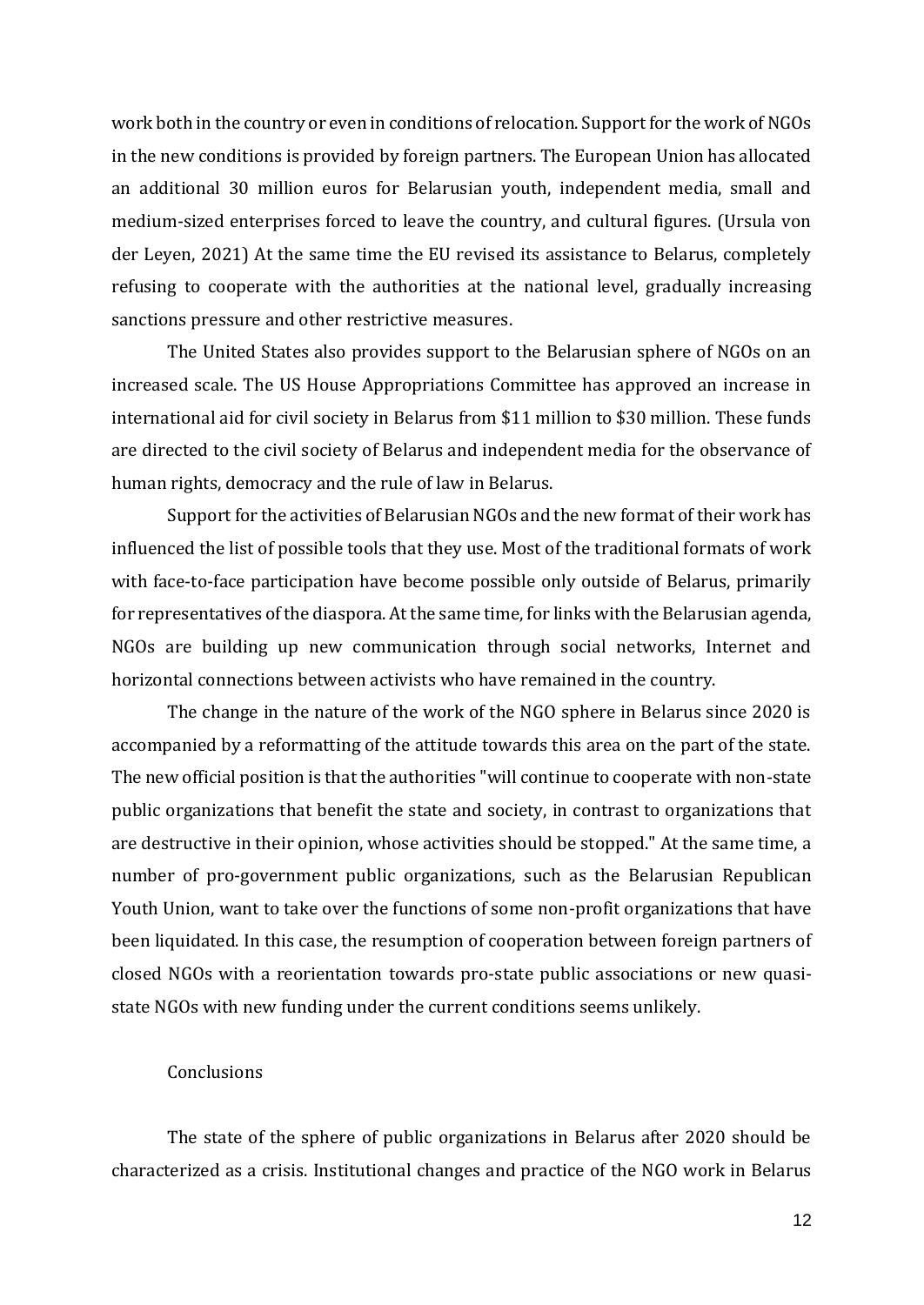work both in the country or even in conditions of relocation. Support for the work of NGOs in the new conditions is provided by foreign partners. The European Union has allocated an additional 30 million euros for Belarusian youth, independent media, small and medium-sized enterprises forced to leave the country, and cultural figures. (Ursula von der Leyen, 2021) At the same time the EU revised its assistance to Belarus, completely refusing to cooperate with the authorities at the national level, gradually increasing sanctions pressure and other restrictive measures.

The United States also provides support to the Belarusian sphere of NGOs on an increased scale. The US House Appropriations Committee has approved an increase in international aid for civil society in Belarus from \$11 million to \$30 million. These funds are directed to the civil society of Belarus and independent media for the observance of human rights, democracy and the rule of law in Belarus.

Support for the activities of Belarusian NGOs and the new format of their work has influenced the list of possible tools that they use. Most of the traditional formats of work with face-to-face participation have become possible only outside of Belarus, primarily for representatives of the diaspora. At the same time, for links with the Belarusian agenda, NGOs are building up new communication through social networks, Internet and horizontal connections between activists who have remained in the country.

The change in the nature of the work of the NGO sphere in Belarus since 2020 is accompanied by a reformatting of the attitude towards this area on the part of the state. The new official position is that the authorities "will continue to cooperate with non-state public organizations that benefit the state and society, in contrast to organizations that are destructive in their opinion, whose activities should be stopped." At the same time, a number of pro-government public organizations, such as the Belarusian Republican Youth Union, want to take over the functions of some non-profit organizations that have been liquidated. In this case, the resumption of cooperation between foreign partners of closed NGOs with a reorientation towards pro-state public associations or new quasistate NGOs with new funding under the current conditions seems unlikely.

# Conclusions

The state of the sphere of public organizations in Belarus after 2020 should be characterized as a crisis. Institutional changes and practice of the NGO work in Belarus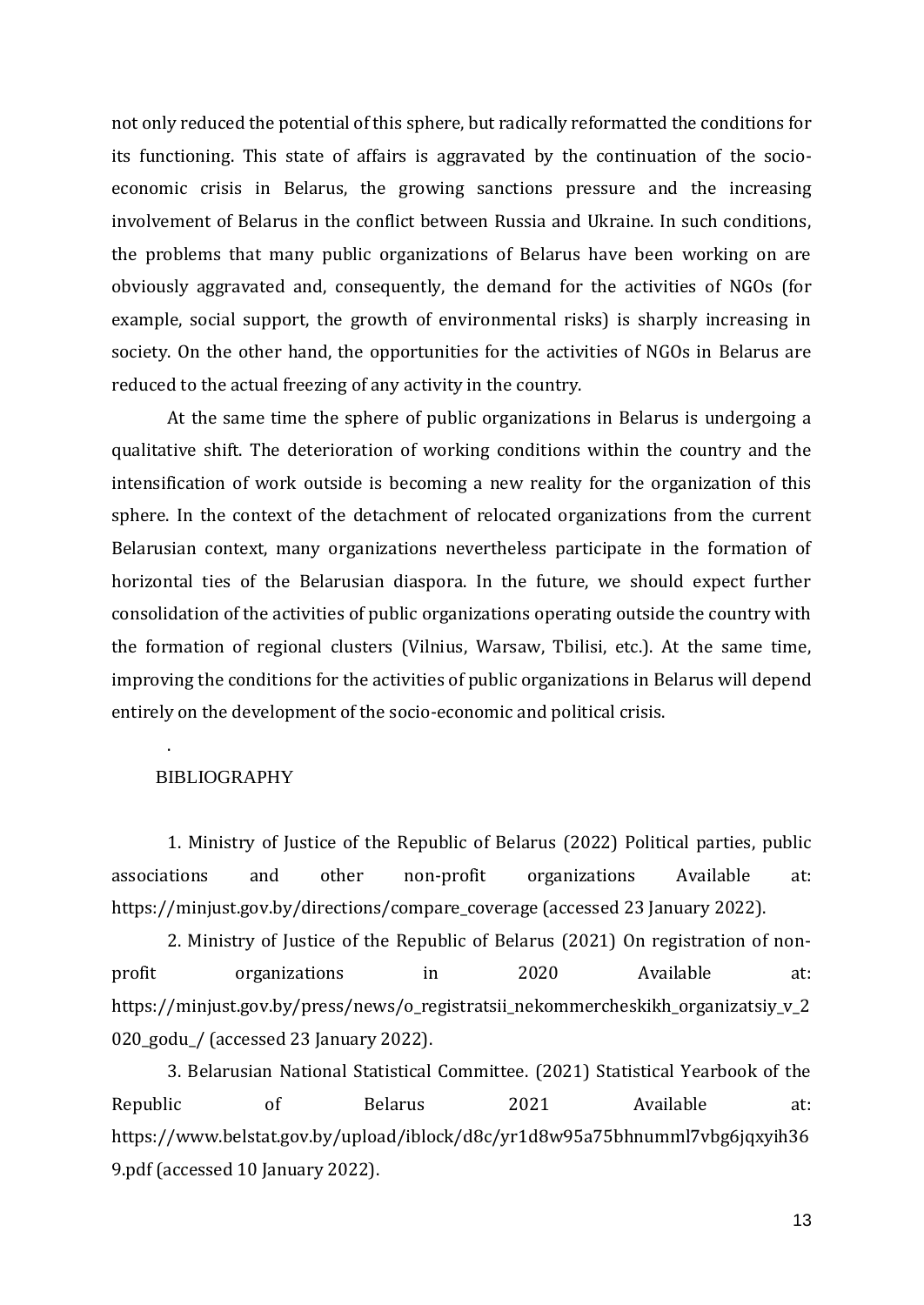not only reduced the potential of this sphere, but radically reformatted the conditions for its functioning. This state of affairs is aggravated by the continuation of the socioeconomic crisis in Belarus, the growing sanctions pressure and the increasing involvement of Belarus in the conflict between Russia and Ukraine. In such conditions, the problems that many public organizations of Belarus have been working on are obviously aggravated and, consequently, the demand for the activities of NGOs (for example, social support, the growth of environmental risks) is sharply increasing in society. On the other hand, the opportunities for the activities of NGOs in Belarus are reduced to the actual freezing of any activity in the country.

At the same time the sphere of public organizations in Belarus is undergoing a qualitative shift. The deterioration of working conditions within the country and the intensification of work outside is becoming a new reality for the organization of this sphere. In the context of the detachment of relocated organizations from the current Belarusian context, many organizations nevertheless participate in the formation of horizontal ties of the Belarusian diaspora. In the future, we should expect further consolidation of the activities of public organizations operating outside the country with the formation of regional clusters (Vilnius, Warsaw, Tbilisi, etc.). At the same time, improving the conditions for the activities of public organizations in Belarus will depend entirely on the development of the socio-economic and political crisis.

## BIBLIOGRAPHY

.

1. Ministry of Justice of the Republic of Belarus (2022) Political parties, public associations and other non-profit organizations Available at: https://minjust.gov.by/directions/compare\_coverage (accessed 23 January 2022).

2. Ministry of Justice of the Republic of Belarus (2021) On registration of nonprofit organizations in 2020 Available at: https://minjust.gov.by/press/news/o\_registratsii\_nekommercheskikh\_organizatsiy\_v\_2 020\_godu\_/ (accessed 23 January 2022).

3. Belarusian National Statistical Committee. (2021) Statistical Yearbook of the Republic of Belarus 2021 Available at: https://www.belstat.gov.by/upload/iblock/d8c/yr1d8w95a75bhnumml7vbg6jqxyih36 9.pdf (accessed 10 January 2022).

13